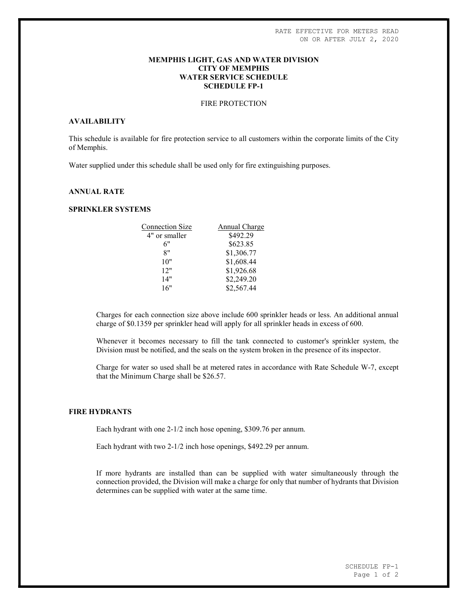## MEMPHIS LIGHT, GAS AND WATER DIVISION CITY OF MEMPHIS WATER SERVICE SCHEDULE SCHEDULE FP-1

## FIRE PROTECTION

## AVAILABILITY

This schedule is available for fire protection service to all customers within the corporate limits of the City of Memphis.

Water supplied under this schedule shall be used only for fire extinguishing purposes.

## ANNUAL RATE

## SPRINKLER SYSTEMS

| <b>Connection Size</b> | Annual Charge |
|------------------------|---------------|
| 4" or smaller          | \$492.29      |
| 6"                     | \$623.85      |
| 8"                     | \$1,306.77    |
| 10"                    | \$1,608.44    |
| 12"                    | \$1,926.68    |
| 14"                    | \$2,249.20    |
| 16"                    | \$2,567.44    |
|                        |               |

Charges for each connection size above include 600 sprinkler heads or less. An additional annual charge of \$0.1359 per sprinkler head will apply for all sprinkler heads in excess of 600.

Whenever it becomes necessary to fill the tank connected to customer's sprinkler system, the Division must be notified, and the seals on the system broken in the presence of its inspector.

Charge for water so used shall be at metered rates in accordance with Rate Schedule W-7, except that the Minimum Charge shall be \$26.57.

### FIRE HYDRANTS

Each hydrant with one 2-1/2 inch hose opening, \$309.76 per annum.

Each hydrant with two 2-1/2 inch hose openings, \$492.29 per annum.

If more hydrants are installed than can be supplied with water simultaneously through the connection provided, the Division will make a charge for only that number of hydrants that Division determines can be supplied with water at the same time.